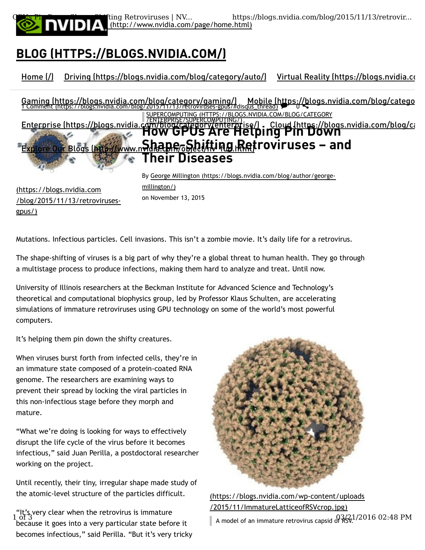

 (http://www.nvidia.com/page/home.html) GPUs Pin Down Shape-Shifting Retroviruses | NV... https://blogs.nvidia.com/blog/2015/11/13/retrovir...

# BLOG (HTTPS://BLOGS.NVIDIA.COM/)

Home (/) Driving (https://blogs.nvidia.com/blog/category/auto/) Virtual Reality (https://blogs.nvidia.com/blog

SUPERCOMPUTING (HTTPS://BLOGS.NVIDIA.COM/BLOG/CATEGORY /ENTERPRISE/SUPERCOMPUTING/) Enterprise (https://blogs.nvidia.com/blog/category/enterprise/) Cloud (https://blogs.nvidia.com/blog/category/<br>How GPUS Are Helping Pin Down Gaming (https://blogs.nvidia.com/blog/category/gaming/) Mobile (https://blogs.nvidia.com/blog/catego<br>1 Comment (https://blogs.nvidia.com/blog/2015/11/13/retroviruses-gpus/#disqus\_thread)

## Explore Our Blogs (http://www.nhdla.p.e.o.S.b.i.f.t.ing.ketroviruses - and Their Diseases

(https://blogs.nvidia.com /blog/2015/11/13/retrovirusesgpus/)

By George Millington (https://blogs.nvidia.com/blog/author/georgemillington/)

Mutations. Infectious particles. Cell invasions. This isn't a zombie movie. It's daily life for a retrovirus.

on November 13, 2015

The shape-shifting of viruses is a big part of why they're a global threat to human health. They go through a multistage process to produce infections, making them hard to analyze and treat. Until now.

University of Illinois researchers at the Beckman Institute for Advanced Science and Technology's theoretical and computational biophysics group, led by Professor Klaus Schulten, are accelerating simulations of immature retroviruses using GPU technology on some of the world's most powerful computers.

It's helping them pin down the shifty creatures.

When viruses burst forth from infected cells, they're in an immature state composed of a protein-coated RNA genome. The researchers are examining ways to prevent their spread by locking the viral particles in this non-infectious stage before they morph and mature.

"What we're doing is looking for ways to effectively disrupt the life cycle of the virus before it becomes infectious," said Juan Perilla, a postdoctoral researcher working on the project.

Until recently, their tiny, irregular shape made study of the atomic-level structure of the particles difficult.

 $\frac{1}{10}$  of 3<br>hecause it goes into a very particular state before it  $\blacksquare$  A model of an immature retrovirus capsid of RSV. "It's very clear when the retrovirus is immature  $1$  of  $3$ because it goes into a very particular state before it becomes infectious," said Perilla. "But it's very tricky



(https://blogs.nvidia.com/wp-content/uploads /2015/11/ImmatureLatticeofRSVcrop.jpg)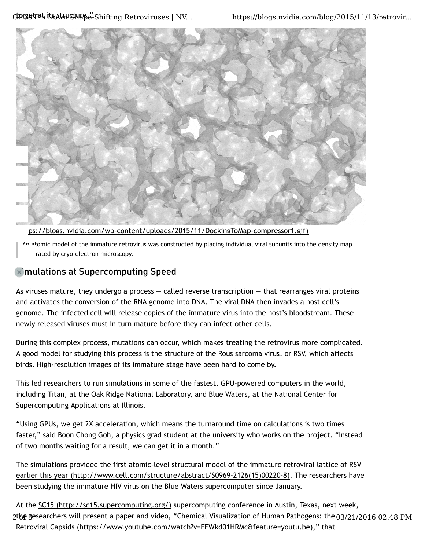

ps://blogs.nvidia.com/wp-content/uploads/2015/11/DockingToMap-compressor1.gif)

An atomic model of the immature retrovirus was constructed by placing individual viral subunits into the density map rated by cryo-electron microscopy.

### $\infty$  mulations at Supercomputing Speed

As viruses mature, they undergo a process  $-$  called reverse transcription  $-$  that rearranges viral proteins and activates the conversion of the RNA genome into DNA. The viral DNA then invades a host cell's genome. The infected cell will release copies of the immature virus into the host's bloodstream. These newly released viruses must in turn mature before they can infect other cells.

During this complex process, mutations can occur, which makes treating the retrovirus more complicated. A good model for studying this process is the structure of the Rous sarcoma virus, or RSV, which affects birds. High-resolution images of its immature stage have been hard to come by.

This led researchers to run simulations in some of the fastest, GPU-powered computers in the world, including Titan, at the Oak Ridge National Laboratory, and Blue Waters, at the National Center for Supercomputing Applications at Illinois.

"Using GPUs, we get 2X acceleration, which means the turnaround time on calculations is two times faster," said Boon Chong Goh, a physics grad student at the university who works on the project. "Instead of two months waiting for a result, we can get it in a month."

The simulations provided the first atomic-level structural model of the immature retroviral lattice of RSV earlier this year (http://www.cell.com/structure/abstract/S0969-2126(15)00220-8). The researchers have been studying the immature HIV virus on the Blue Waters supercomputer since January.

At the SC15 (http://sc15.supercomputing.org/) supercomputing conference in Austin, Texas, next week, 2the gesearchers will present a paper and video, "<u>Chemical Visualization of Human Pathogens: the 03/21/2016 02:48 PM</u> Retroviral Capsids (https://www.youtube.com/watch?v=FEWkd01HRMc&feature=youtu.be)," that